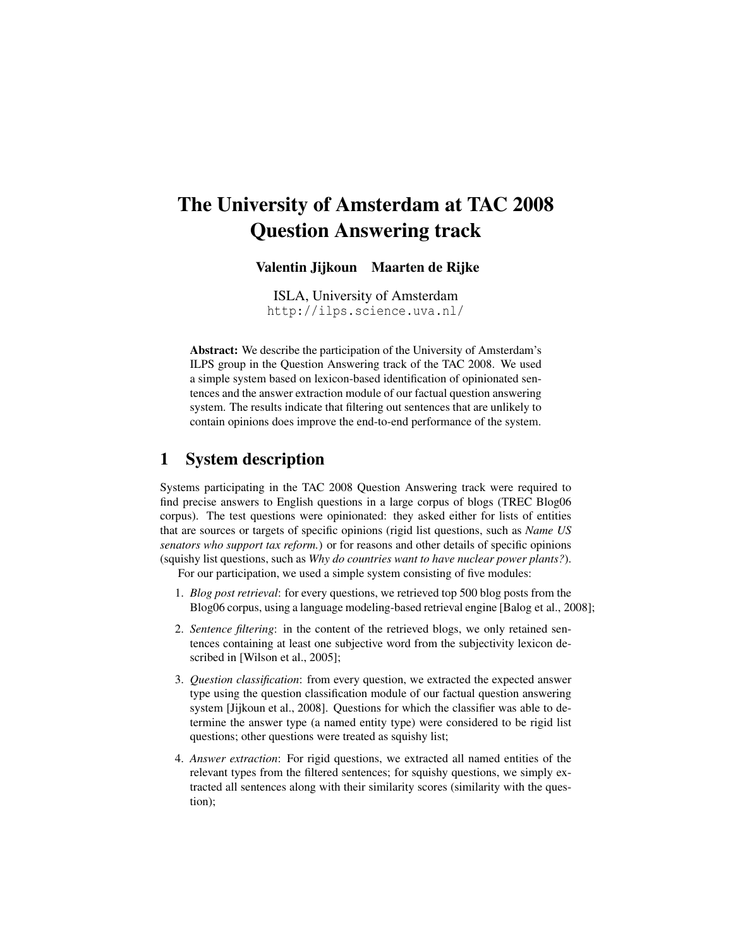# The University of Amsterdam at TAC 2008 Question Answering track

Valentin Jijkoun Maarten de Rijke

ISLA, University of Amsterdam http://ilps.science.uva.nl/

Abstract: We describe the participation of the University of Amsterdam's ILPS group in the Question Answering track of the TAC 2008. We used a simple system based on lexicon-based identification of opinionated sentences and the answer extraction module of our factual question answering system. The results indicate that filtering out sentences that are unlikely to contain opinions does improve the end-to-end performance of the system.

## 1 System description

Systems participating in the TAC 2008 Question Answering track were required to find precise answers to English questions in a large corpus of blogs (TREC Blog06 corpus). The test questions were opinionated: they asked either for lists of entities that are sources or targets of specific opinions (rigid list questions, such as *Name US senators who support tax reform.*) or for reasons and other details of specific opinions (squishy list questions, such as *Why do countries want to have nuclear power plants?*).

For our participation, we used a simple system consisting of five modules:

- 1. *Blog post retrieval*: for every questions, we retrieved top 500 blog posts from the Blog06 corpus, using a language modeling-based retrieval engine [Balog et al., 2008];
- 2. *Sentence filtering*: in the content of the retrieved blogs, we only retained sentences containing at least one subjective word from the subjectivity lexicon described in [Wilson et al., 2005];
- 3. *Question classification*: from every question, we extracted the expected answer type using the question classification module of our factual question answering system [Jijkoun et al., 2008]. Questions for which the classifier was able to determine the answer type (a named entity type) were considered to be rigid list questions; other questions were treated as squishy list;
- 4. *Answer extraction*: For rigid questions, we extracted all named entities of the relevant types from the filtered sentences; for squishy questions, we simply extracted all sentences along with their similarity scores (similarity with the question);